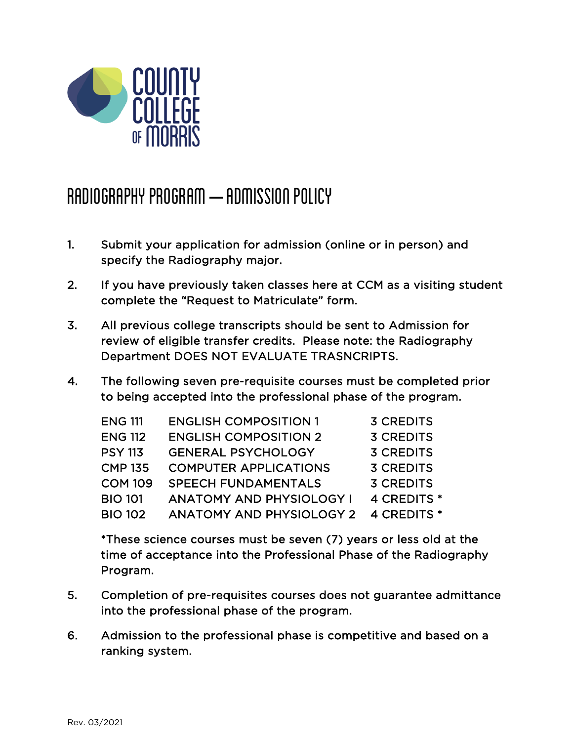

## RADIOGRAPHY PROGRAM – ADMISSION POLICY

- 1. Submit your application for admission (online or in person) and specify the Radiography major.
- 2. If you have previously taken classes here at CCM as a visiting student complete the "Request to Matriculate" form.
- 3. All previous college transcripts should be sent to Admission for review of eligible transfer credits. Please note: the Radiography Department DOES NOT EVALUATE TRASNCRIPTS.
- 4. The following seven pre-requisite courses must be completed prior to being accepted into the professional phase of the program.

| <b>ENG 111</b> | <b>ENGLISH COMPOSITION 1</b>    | <b>3 CREDITS</b> |
|----------------|---------------------------------|------------------|
| <b>ENG 112</b> | <b>ENGLISH COMPOSITION 2</b>    | <b>3 CREDITS</b> |
| <b>PSY 113</b> | <b>GENERAL PSYCHOLOGY</b>       | <b>3 CREDITS</b> |
| <b>CMP 135</b> | <b>COMPUTER APPLICATIONS</b>    | <b>3 CREDITS</b> |
| <b>COM 109</b> | <b>SPEECH FUNDAMENTALS</b>      | <b>3 CREDITS</b> |
| <b>BIO 101</b> | <b>ANATOMY AND PHYSIOLOGY I</b> | 4 CREDITS *      |
| <b>BIO 102</b> | <b>ANATOMY AND PHYSIOLOGY 2</b> | 4 CREDITS *      |

\*These science courses must be seven (7) years or less old at the time of acceptance into the Professional Phase of the Radiography Program.

- 5. Completion of pre-requisites courses does not guarantee admittance into the professional phase of the program.
- 6. Admission to the professional phase is competitive and based on a ranking system.